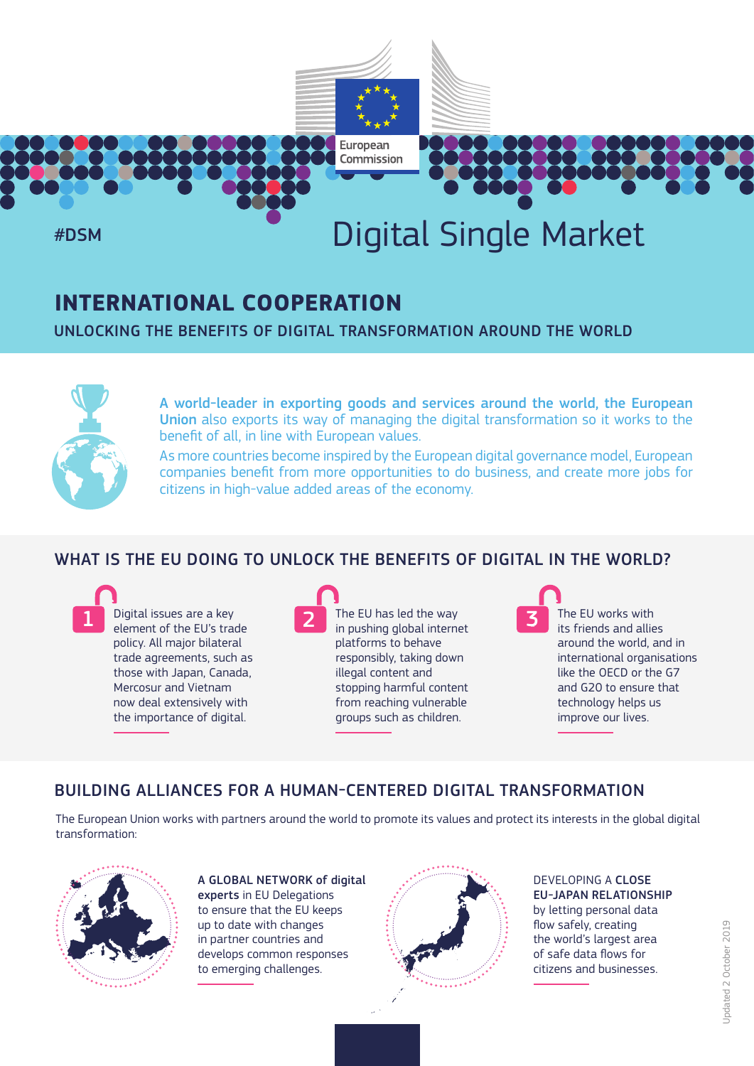# #DSM Digital Single Market

## **INTERNATIONAL COOPERATION**

UNLOCKING THE BENEFITS OF DIGITAL TRANSFORMATION AROUND THE WORLD

European Commission



A world-leader in exporting goods and services around the world, the European Union also exports its way of managing the digital transformation so it works to the benefit of all, in line with European values.

As more countries become inspired by the European digital governance model, European companies benefit from more opportunities to do business, and create more jobs for citizens in high-value added areas of the economy.

### WHAT IS THE EU DOING TO UNLOCK THE BENEFITS OF DIGITAL IN THE WORLD?

Digital issues are a key 1 Digital issues are a key<br>
element of the EU's trade **2** in pushing global internet policy. All major bilateral trade agreements, such as those with Japan, Canada, Mercosur and Vietnam now deal extensively with the importance of digital.



The EU has led the way in pushing global internet platforms to behave responsibly, taking down illegal content and stopping harmful content from reaching vulnerable groups such as children.

The EU works with its friends and allies around the world, and in international organisations like the OECD or the G7 and G20 to ensure that technology helps us improve our lives.

#### BUILDING ALLIANCES FOR A HUMAN-CENTERED DIGITAL TRANSFORMATION

The European Union works with partners around the world to promote its values and protect its interests in the global digital transformation:



A GLOBAL NETWORK of digital experts in EU Delegations to ensure that the EU keeps up to date with changes in partner countries and develops common responses to emerging challenges.



#### DEVELOPING A CLOSE EU-JAPAN RELATIONSHIP by letting personal data

flow safely, creating the world's largest area of safe data flows for citizens and businesses.